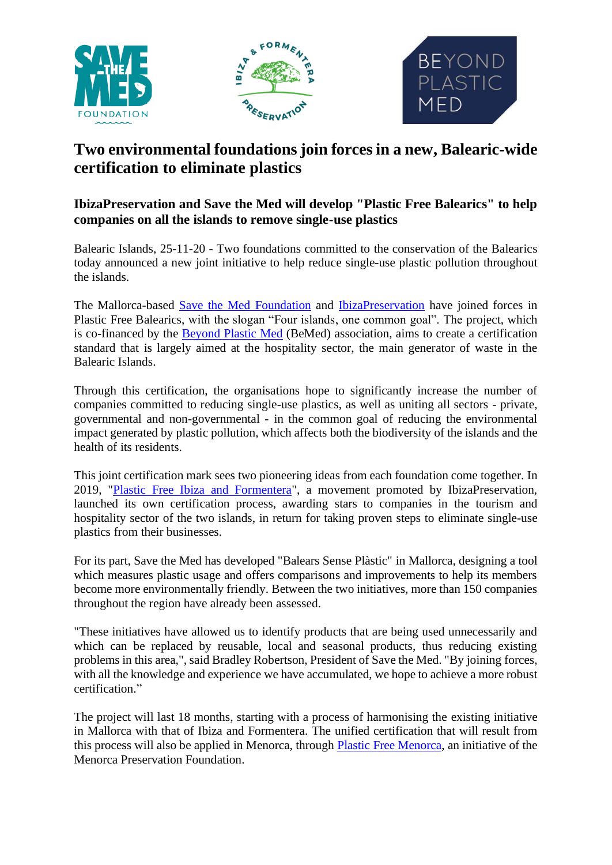

# **Two environmental foundations join forces in a new, Balearic-wide certification to eliminate plastics**

# **IbizaPreservation and Save the Med will develop "Plastic Free Balearics" to help companies on all the islands to remove single-use plastics**

Balearic Islands, 25-11-20 - Two foundations committed to the conservation of the Balearics today announced a new joint initiative to help reduce single-use plastic pollution throughout the islands.

The Mallorca-based [Save the Med Foundation](https://www.savethemed.org/) and [IbizaPreservation](http://ibizapreservation.org/) have joined forces in Plastic Free Balearics, with the slogan "Four islands, one common goal". The project, which is co-financed by the [Beyond Plastic Med](https://www.beyondplasticmed.org/) (BeMed) association, aims to create a certification standard that is largely aimed at the hospitality sector, the main generator of waste in the Balearic Islands.

Through this certification, the organisations hope to significantly increase the number of companies committed to reducing single-use plastics, as well as uniting all sectors - private, governmental and non-governmental - in the common goal of reducing the environmental impact generated by plastic pollution, which affects both the biodiversity of the islands and the health of its residents.

This joint certification mark sees two pioneering ideas from each foundation come together. In 2019, ["Plastic Free Ibiza and Formentera"](file:///C:/Volumes/GoogleDrive/.shortcut-targets-by-id/1LoRwu8e_KDLt_1S0dWRR8_EC3Pcj0vDK/BEMED%20EQUIPO/Comunicación/Notas%20de%20Prensa/plasticfree.es), a movement promoted by IbizaPreservation, launched its own certification process, awarding stars to companies in the tourism and hospitality sector of the two islands, in return for taking proven steps to eliminate single-use plastics from their businesses.

For its part, Save the Med has developed "Balears Sense Plàstic" in Mallorca, designing a tool which measures plastic usage and offers comparisons and improvements to help its members become more environmentally friendly. Between the two initiatives, more than 150 companies throughout the region have already been assessed.

"These initiatives have allowed us to identify products that are being used unnecessarily and which can be replaced by reusable, local and seasonal products, thus reducing existing problems in this area,", said Bradley Robertson, President of Save the Med. "By joining forces, with all the knowledge and experience we have accumulated, we hope to achieve a more robust certification."

The project will last 18 months, starting with a process of harmonising the existing initiative in Mallorca with that of Ibiza and Formentera. The unified certification that will result from this process will also be applied in Menorca, through [Plastic Free Menorca,](https://www.plasticfreemenorca.org/) an initiative of the Menorca Preservation Foundation.